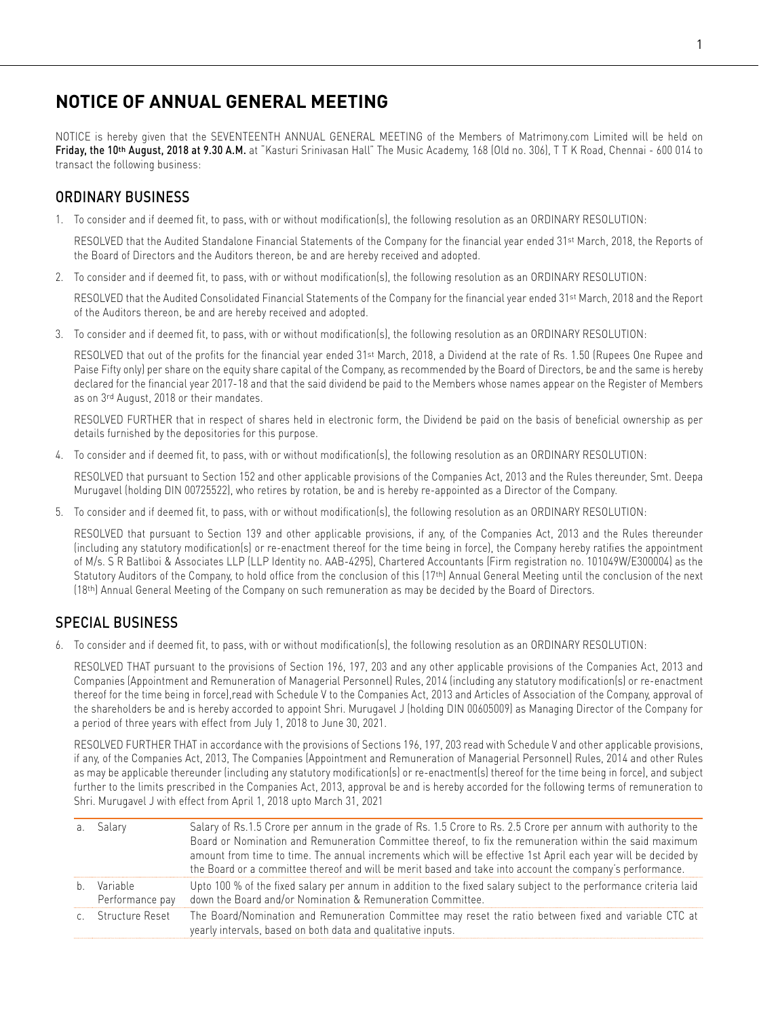# **NOTICE OF ANNUAL GENERAL MEETING**

NOTICE is hereby given that the SEVENTEENTH ANNUAL GENERAL MEETING of the Members of Matrimony.com Limited will be held on Friday, the 10<sup>th</sup> August, 2018 at 9.30 A.M. at "Kasturi Srinivasan Hall" The Music Academy, 168 (Old no. 306), TTK Road, Chennai - 600 014 to transact the following business:

# ORDINARY BUSINESS

1. To consider and if deemed fit, to pass, with or without modification(s), the following resolution as an ORDINARY RESOLUTION:

RESOLVED that the Audited Standalone Financial Statements of the Company for the financial year ended 31<sup>st</sup> March, 2018, the Reports of the Board of Directors and the Auditors thereon, be and are hereby received and adopted.

2. To consider and if deemed fit, to pass, with or without modification(s), the following resolution as an ORDINARY RESOLUTION:

RESOLVED that the Audited Consolidated Financial Statements of the Company for the financial year ended 31st March, 2018 and the Report of the Auditors thereon, be and are hereby received and adopted.

3. To consider and if deemed fit, to pass, with or without modification(s), the following resolution as an ORDINARY RESOLUTION:

RESOLVED that out of the profits for the financial year ended 31<sup>st</sup> March, 2018, a Dividend at the rate of Rs. 1.50 (Rupees One Rupee and Paise Fifty only) per share on the equity share capital of the Company, as recommended by the Board of Directors, be and the same is hereby declared for the financial year 2017-18 and that the said dividend be paid to the Members whose names appear on the Register of Members as on 3rd August, 2018 or their mandates.

 RESOLVED FURTHER that in respect of shares held in electronic form, the Dividend be paid on the basis of beneficial ownership as per details furnished by the depositories for this purpose.

4. To consider and if deemed fit, to pass, with or without modification(s), the following resolution as an ORDINARY RESOLUTION:

 RESOLVED that pursuant to Section 152 and other applicable provisions of the Companies Act, 2013 and the Rules thereunder, Smt. Deepa Murugavel (holding DIN 00725522), who retires by rotation, be and is hereby re-appointed as a Director of the Company.

5. To consider and if deemed fit, to pass, with or without modification(s), the following resolution as an ORDINARY RESOLUTION:

 RESOLVED that pursuant to Section 139 and other applicable provisions, if any, of the Companies Act, 2013 and the Rules thereunder (including any statutory modification(s) or re-enactment thereof for the time being in force), the Company hereby ratifies the appointment of M/s. S R Batliboi & Associates LLP (LLP Identity no. AAB-4295), Chartered Accountants (Firm registration no. 101049W/E300004) as the Statutory Auditors of the Company, to hold office from the conclusion of this (17th) Annual General Meeting until the conclusion of the next (18th) Annual General Meeting of the Company on such remuneration as may be decided by the Board of Directors.

# SPECIAL BUSINESS

6. To consider and if deemed fit, to pass, with or without modification(s), the following resolution as an ORDINARY RESOLUTION:

 RESOLVED THAT pursuant to the provisions of Section 196, 197, 203 and any other applicable provisions of the Companies Act, 2013 and Companies (Appointment and Remuneration of Managerial Personnel) Rules, 2014 (including any statutory modification(s) or re-enactment thereof for the time being in force),read with Schedule V to the Companies Act, 2013 and Articles of Association of the Company, approval of the shareholders be and is hereby accorded to appoint Shri. Murugavel J (holding DIN 00605009) as Managing Director of the Company for a period of three years with effect from July 1, 2018 to June 30, 2021.

 RESOLVED FURTHER THAT in accordance with the provisions of Sections 196, 197, 203 read with Schedule V and other applicable provisions, if any, of the Companies Act, 2013, The Companies (Appointment and Remuneration of Managerial Personnel) Rules, 2014 and other Rules as may be applicable thereunder (including any statutory modification(s) or re-enactment(s) thereof for the time being in force), and subject further to the limits prescribed in the Companies Act, 2013, approval be and is hereby accorded for the following terms of remuneration to Shri. Murugavel J with effect from April 1, 2018 upto March 31, 2021

| a. Salary                      | Salary of Rs.1.5 Crore per annum in the grade of Rs. 1.5 Crore to Rs. 2.5 Crore per annum with authority to the<br>Board or Nomination and Remuneration Committee thereof, to fix the remuneration within the said maximum<br>amount from time to time. The annual increments which will be effective 1st April each year will be decided by<br>the Board or a committee thereof and will be merit based and take into account the company's performance. |
|--------------------------------|-----------------------------------------------------------------------------------------------------------------------------------------------------------------------------------------------------------------------------------------------------------------------------------------------------------------------------------------------------------------------------------------------------------------------------------------------------------|
| b. Variable<br>Performance pay | Upto 100 % of the fixed salary per annum in addition to the fixed salary subject to the performance criteria laid<br>down the Board and/or Nomination & Remuneration Committee.                                                                                                                                                                                                                                                                           |
| c. Structure Reset             | The Board/Nomination and Remuneration Committee may reset the ratio between fixed and variable CTC at<br>yearly intervals, based on both data and qualitative inputs.                                                                                                                                                                                                                                                                                     |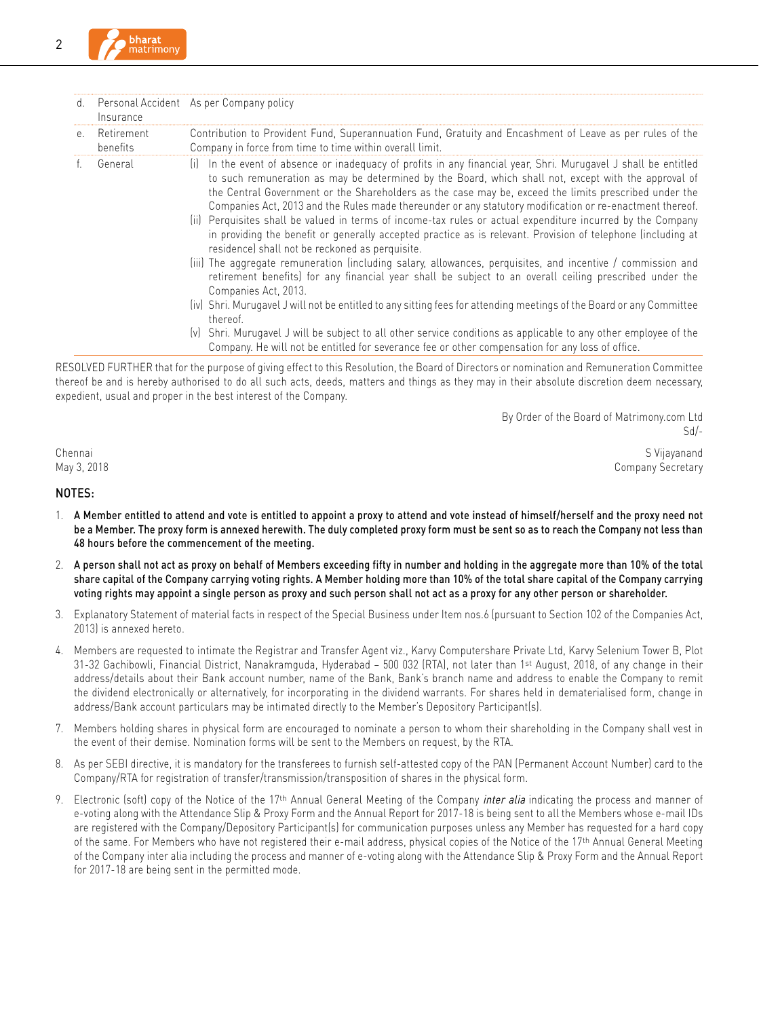| d.      | Insurance              | Personal Accident As per Company policy                                                                                                                                                                                                                                                                                                                                                                                                                                                                                                                                                                                                                                                                                                                                                                                                                                                                                                                                                                                                                                                                                                                                                                                                                                                                                                          |
|---------|------------------------|--------------------------------------------------------------------------------------------------------------------------------------------------------------------------------------------------------------------------------------------------------------------------------------------------------------------------------------------------------------------------------------------------------------------------------------------------------------------------------------------------------------------------------------------------------------------------------------------------------------------------------------------------------------------------------------------------------------------------------------------------------------------------------------------------------------------------------------------------------------------------------------------------------------------------------------------------------------------------------------------------------------------------------------------------------------------------------------------------------------------------------------------------------------------------------------------------------------------------------------------------------------------------------------------------------------------------------------------------|
| $e_{1}$ | Retirement<br>benefits | Contribution to Provident Fund, Superannuation Fund, Gratuity and Encashment of Leave as per rules of the<br>Company in force from time to time within overall limit.                                                                                                                                                                                                                                                                                                                                                                                                                                                                                                                                                                                                                                                                                                                                                                                                                                                                                                                                                                                                                                                                                                                                                                            |
|         | General                | In the event of absence or inadequacy of profits in any financial year, Shri. Murugavel J shall be entitled<br>liL.<br>to such remuneration as may be determined by the Board, which shall not, except with the approval of<br>the Central Government or the Shareholders as the case may be, exceed the limits prescribed under the<br>Companies Act, 2013 and the Rules made thereunder or any statutory modification or re-enactment thereof.<br>(ii) Perquisites shall be valued in terms of income-tax rules or actual expenditure incurred by the Company<br>in providing the benefit or generally accepted practice as is relevant. Provision of telephone (including at<br>residence) shall not be reckoned as perquisite.<br>(iii) The aggregate remuneration (including salary, allowances, perquisites, and incentive / commission and<br>retirement benefits) for any financial year shall be subject to an overall ceiling prescribed under the<br>Companies Act, 2013.<br>(iv) Shri. Murugavel J will not be entitled to any sitting fees for attending meetings of the Board or any Committee<br>thereof.<br>(v) Shri. Murugavel J will be subject to all other service conditions as applicable to any other employee of the<br>Company. He will not be entitled for severance fee or other compensation for any loss of office. |

RESOLVED FURTHER that for the purpose of giving effect to this Resolution, the Board of Directors or nomination and Remuneration Committee thereof be and is hereby authorised to do all such acts, deeds, matters and things as they may in their absolute discretion deem necessary, expedient, usual and proper in the best interest of the Company.

> By Order of the Board of Matrimony.com Ltd Sd/-

Chennai S Vijayanand May 3, 2018 Company Secretary

#### NOTES:

- 1. A Member entitled to attend and vote is entitled to appoint a proxy to attend and vote instead of himself/herself and the proxy need not be a Member. The proxy form is annexed herewith. The duly completed proxy form must be sent so as to reach the Company not less than 48 hours before the commencement of the meeting.
- 2. A person shall not act as proxy on behalf of Members exceeding fifty in number and holding in the aggregate more than 10% of the total share capital of the Company carrying voting rights. A Member holding more than 10% of the total share capital of the Company carrying voting rights may appoint a single person as proxy and such person shall not act as a proxy for any other person or shareholder.
- 3. Explanatory Statement of material facts in respect of the Special Business under Item nos.6 (pursuant to Section 102 of the Companies Act, 2013) is annexed hereto.
- 4. Members are requested to intimate the Registrar and Transfer Agent viz., Karvy Computershare Private Ltd, Karvy Selenium Tower B, Plot 31-32 Gachibowli, Financial District, Nanakramguda, Hyderabad – 500 032 (RTA), not later than 1st August, 2018, of any change in their address/details about their Bank account number, name of the Bank, Bank's branch name and address to enable the Company to remit the dividend electronically or alternatively, for incorporating in the dividend warrants. For shares held in dematerialised form, change in address/Bank account particulars may be intimated directly to the Member's Depository Participant(s).
- 7. Members holding shares in physical form are encouraged to nominate a person to whom their shareholding in the Company shall vest in the event of their demise. Nomination forms will be sent to the Members on request, by the RTA.
- 8. As per SEBI directive, it is mandatory for the transferees to furnish self-attested copy of the PAN (Permanent Account Number) card to the Company/RTA for registration of transfer/transmission/transposition of shares in the physical form.
- 9. Electronic (soft) copy of the Notice of the 17<sup>th</sup> Annual General Meeting of the Company *inter alia* indicating the process and manner of e-voting along with the Attendance Slip & Proxy Form and the Annual Report for 2017-18 is being sent to all the Members whose e-mail IDs are registered with the Company/Depository Participant(s) for communication purposes unless any Member has requested for a hard copy of the same. For Members who have not registered their e-mail address, physical copies of the Notice of the 17th Annual General Meeting of the Company inter alia including the process and manner of e-voting along with the Attendance Slip & Proxy Form and the Annual Report for 2017-18 are being sent in the permitted mode.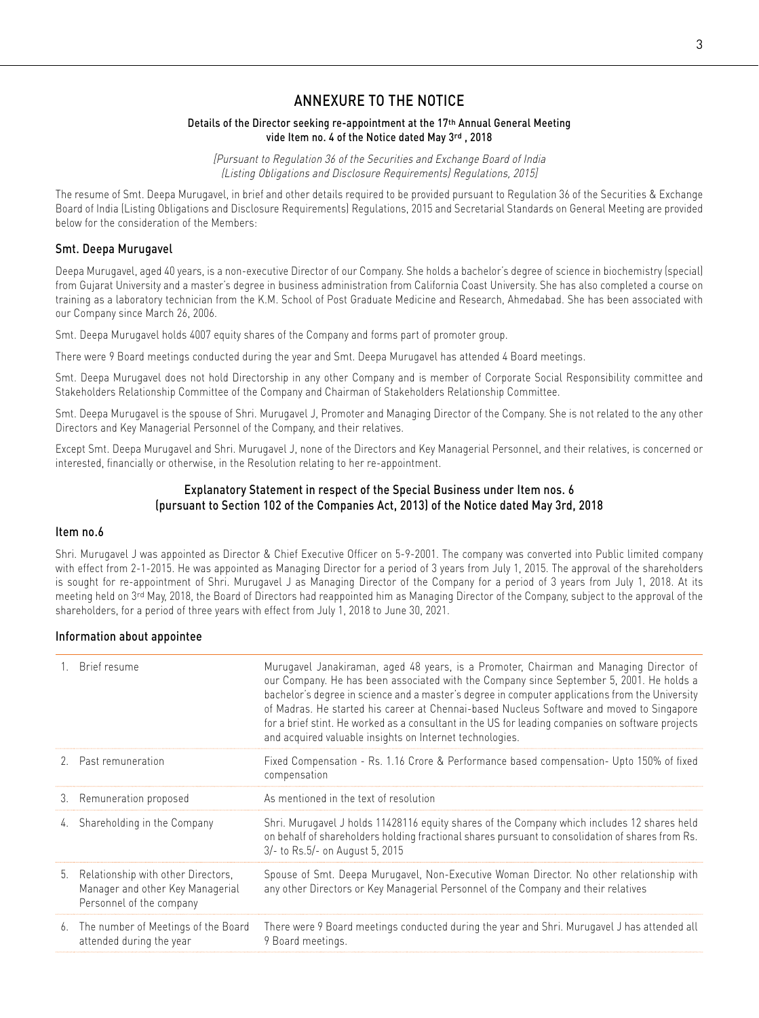# ANNEXURE TO THE NOTICE

### Details of the Director seeking re-appointment at the 17th Annual General Meeting vide Item no. 4 of the Notice dated May 3rd , 2018

[Pursuant to Regulation 36 of the Securities and Exchange Board of India (Listing Obligations and Disclosure Requirements) Regulations, 2015]

The resume of Smt. Deepa Murugavel, in brief and other details required to be provided pursuant to Regulation 36 of the Securities & Exchange Board of India (Listing Obligations and Disclosure Requirements) Regulations, 2015 and Secretarial Standards on General Meeting are provided below for the consideration of the Members:

### Smt. Deepa Murugavel

Deepa Murugavel, aged 40 years, is a non-executive Director of our Company. She holds a bachelor's degree of science in biochemistry (special) from Gujarat University and a master's degree in business administration from California Coast University. She has also completed a course on training as a laboratory technician from the K.M. School of Post Graduate Medicine and Research, Ahmedabad. She has been associated with our Company since March 26, 2006.

Smt. Deepa Murugavel holds 4007 equity shares of the Company and forms part of promoter group.

There were 9 Board meetings conducted during the year and Smt. Deepa Murugavel has attended 4 Board meetings.

Smt. Deepa Murugavel does not hold Directorship in any other Company and is member of Corporate Social Responsibility committee and Stakeholders Relationship Committee of the Company and Chairman of Stakeholders Relationship Committee.

Smt. Deepa Murugavel is the spouse of Shri. Murugavel J, Promoter and Managing Director of the Company. She is not related to the any other Directors and Key Managerial Personnel of the Company, and their relatives.

Except Smt. Deepa Murugavel and Shri. Murugavel J, none of the Directors and Key Managerial Personnel, and their relatives, is concerned or interested, financially or otherwise, in the Resolution relating to her re-appointment.

# Explanatory Statement in respect of the Special Business under Item nos. 6 (pursuant to Section 102 of the Companies Act, 2013) of the Notice dated May 3rd, 2018

#### Item no.6

Shri. Murugavel J was appointed as Director & Chief Executive Officer on 5-9-2001. The company was converted into Public limited company with effect from 2-1-2015. He was appointed as Managing Director for a period of 3 years from July 1, 2015. The approval of the shareholders is sought for re-appointment of Shri. Murugavel J as Managing Director of the Company for a period of 3 years from July 1, 2018. At its meeting held on 3rd May, 2018, the Board of Directors had reappointed him as Managing Director of the Company, subject to the approval of the shareholders, for a period of three years with effect from July 1, 2018 to June 30, 2021.

## Information about appointee

|    | Brief resume                                                                                          | Murugavel Janakiraman, aged 48 years, is a Promoter, Chairman and Managing Director of<br>our Company. He has been associated with the Company since September 5, 2001. He holds a<br>bachelor's degree in science and a master's degree in computer applications from the University<br>of Madras. He started his career at Chennai-based Nucleus Software and moved to Singapore<br>for a brief stint. He worked as a consultant in the US for leading companies on software projects<br>and acquired valuable insights on Internet technologies. |
|----|-------------------------------------------------------------------------------------------------------|-----------------------------------------------------------------------------------------------------------------------------------------------------------------------------------------------------------------------------------------------------------------------------------------------------------------------------------------------------------------------------------------------------------------------------------------------------------------------------------------------------------------------------------------------------|
|    | 2. Past remuneration                                                                                  | Fixed Compensation - Rs. 1.16 Crore & Performance based compensation- Upto 150% of fixed<br>compensation                                                                                                                                                                                                                                                                                                                                                                                                                                            |
|    | 3. Remuneration proposed                                                                              | As mentioned in the text of resolution                                                                                                                                                                                                                                                                                                                                                                                                                                                                                                              |
| 4. | Shareholding in the Company                                                                           | Shri. Murugavel J holds 11428116 equity shares of the Company which includes 12 shares held<br>on behalf of shareholders holding fractional shares pursuant to consolidation of shares from Rs.<br>3/- to Rs.5/- on August 5, 2015                                                                                                                                                                                                                                                                                                                  |
|    | 5. Relationship with other Directors,<br>Manager and other Key Managerial<br>Personnel of the company | Spouse of Smt. Deepa Murugavel, Non-Executive Woman Director. No other relationship with<br>any other Directors or Key Managerial Personnel of the Company and their relatives                                                                                                                                                                                                                                                                                                                                                                      |
| 6. | The number of Meetings of the Board<br>attended during the year                                       | There were 9 Board meetings conducted during the year and Shri. Murugavel J has attended all<br>9 Board meetings.                                                                                                                                                                                                                                                                                                                                                                                                                                   |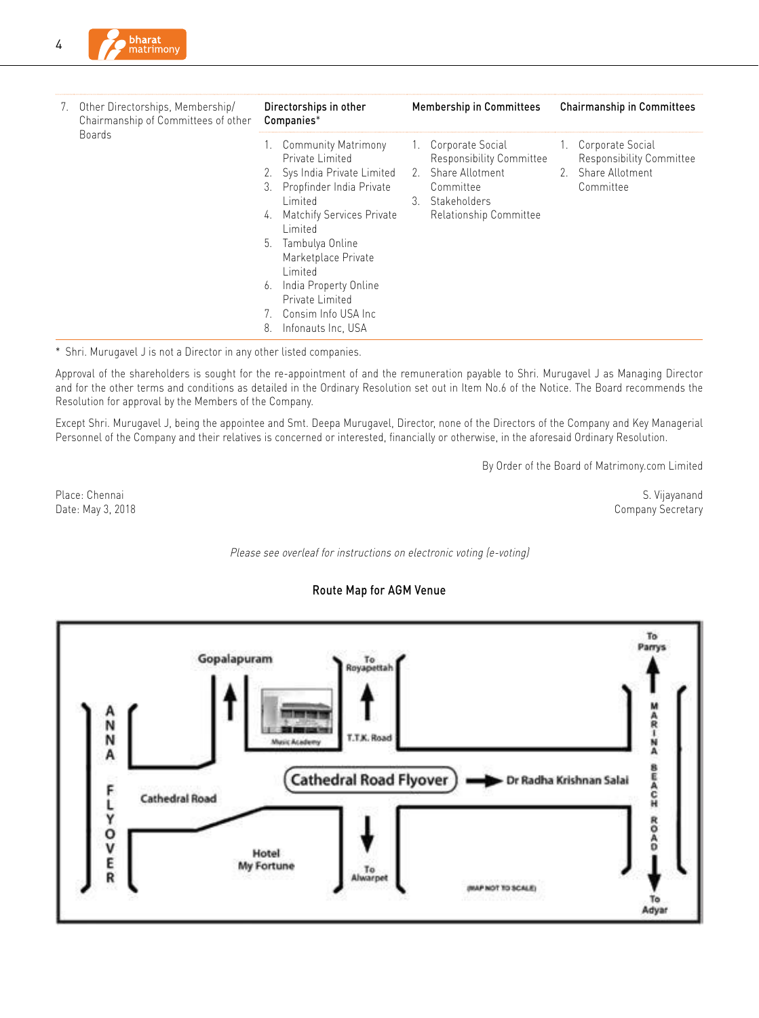

| 7. | Other Directorships, Membership/<br>Chairmanship of Committees of other | Directorships in other<br>Companies*                                                                                                                                                                                                                                                                                                           | <b>Membership in Committees</b>                                                                                                 | <b>Chairmanship in Committees</b>                                                  |
|----|-------------------------------------------------------------------------|------------------------------------------------------------------------------------------------------------------------------------------------------------------------------------------------------------------------------------------------------------------------------------------------------------------------------------------------|---------------------------------------------------------------------------------------------------------------------------------|------------------------------------------------------------------------------------|
|    | <b>Boards</b>                                                           | 1. Community Matrimony<br>Private Limited<br>2. Sys India Private Limited<br>Propfinder India Private<br>3.<br>Limited<br><b>Matchify Services Private</b><br>4.<br>Limited<br>Tambulya Online<br>5.<br>Marketplace Private<br>Limited<br>India Property Online<br>6.<br>Private Limited<br>7. Consim Info USA Inc<br>8.<br>Infonauts Inc. USA | 1. Corporate Social<br>Responsibility Committee<br>2. Share Allotment<br>Committee<br>3. Stakeholders<br>Relationship Committee | 1. Corporate Social<br>Responsibility Committee<br>2. Share Allotment<br>Committee |

\* Shri. Murugavel J is not a Director in any other listed companies.

Approval of the shareholders is sought for the re-appointment of and the remuneration payable to Shri. Murugavel J as Managing Director and for the other terms and conditions as detailed in the Ordinary Resolution set out in Item No.6 of the Notice. The Board recommends the Resolution for approval by the Members of the Company.

Except Shri. Murugavel J, being the appointee and Smt. Deepa Murugavel, Director, none of the Directors of the Company and Key Managerial Personnel of the Company and their relatives is concerned or interested, financially or otherwise, in the aforesaid Ordinary Resolution.

By Order of the Board of Matrimony.com Limited

Place: Chennai S. Vijayanand Date: May 3, 2018 Company Secretary

#### Please see overleaf for instructions on electronic voting (e-voting)

## Route Map for AGM Venue

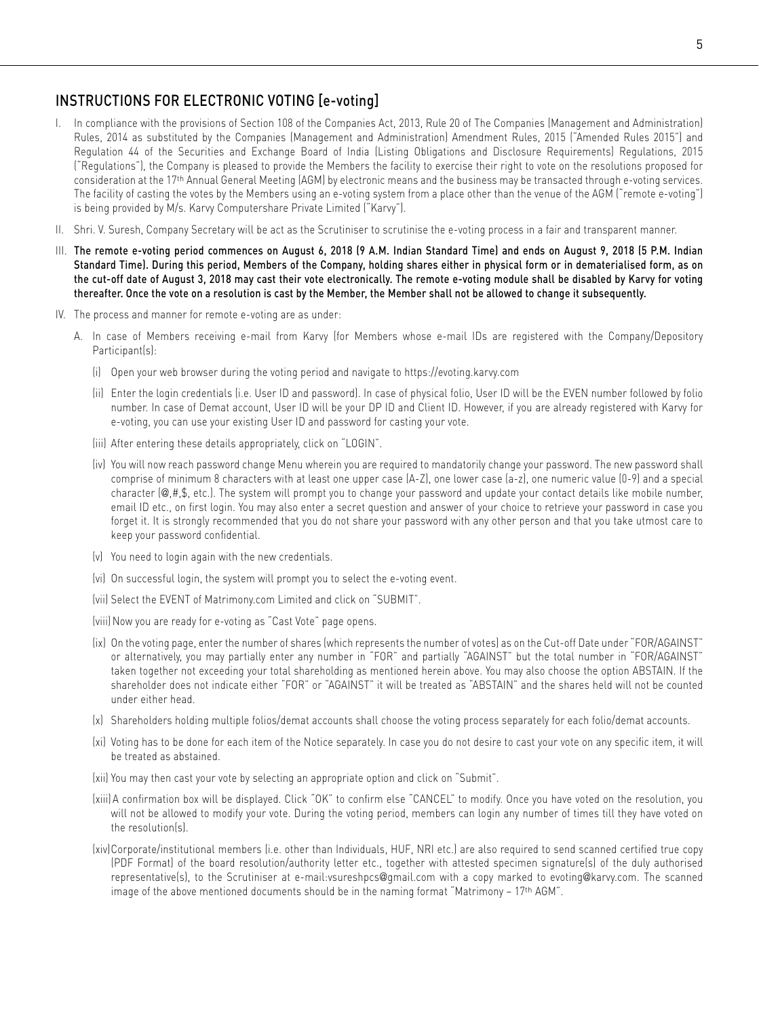# INSTRUCTIONS FOR ELECTRONIC VOTING [e-voting]

- I. In compliance with the provisions of Section 108 of the Companies Act, 2013, Rule 20 of The Companies (Management and Administration) Rules, 2014 as substituted by the Companies (Management and Administration) Amendment Rules, 2015 ("Amended Rules 2015") and Regulation 44 of the Securities and Exchange Board of India (Listing Obligations and Disclosure Requirements) Regulations, 2015 ("Regulations"), the Company is pleased to provide the Members the facility to exercise their right to vote on the resolutions proposed for consideration at the 17th Annual General Meeting (AGM) by electronic means and the business may be transacted through e-voting services. The facility of casting the votes by the Members using an e-voting system from a place other than the venue of the AGM ("remote e-voting") is being provided by M/s. Karvy Computershare Private Limited ("Karvy").
- II. Shri. V. Suresh, Company Secretary will be act as the Scrutiniser to scrutinise the e-voting process in a fair and transparent manner.
- III. The remote e-voting period commences on August 6, 2018 (9 A.M. Indian Standard Time) and ends on August 9, 2018 (5 P.M. Indian Standard Time). During this period, Members of the Company, holding shares either in physical form or in dematerialised form, as on the cut-off date of August 3, 2018 may cast their vote electronically. The remote e-voting module shall be disabled by Karvy for voting thereafter. Once the vote on a resolution is cast by the Member, the Member shall not be allowed to change it subsequently.
- IV. The process and manner for remote e-voting are as under:
	- A. In case of Members receiving e-mail from Karvy (for Members whose e-mail IDs are registered with the Company/Depository Participant(s):
		- (i) Open your web browser during the voting period and navigate to https://evoting.karvy.com
		- (ii) Enter the login credentials (i.e. User ID and password). In case of physical folio, User ID will be the EVEN number followed by folio number. In case of Demat account, User ID will be your DP ID and Client ID. However, if you are already registered with Karvy for e-voting, you can use your existing User ID and password for casting your vote.
		- (iii) After entering these details appropriately, click on "LOGIN".
		- (iv) You will now reach password change Menu wherein you are required to mandatorily change your password. The new password shall comprise of minimum 8 characters with at least one upper case (A-Z), one lower case (a-z), one numeric value (0-9) and a special character (@,#,\$, etc.). The system will prompt you to change your password and update your contact details like mobile number, email ID etc., on first login. You may also enter a secret question and answer of your choice to retrieve your password in case you forget it. It is strongly recommended that you do not share your password with any other person and that you take utmost care to keep your password confidential.
		- (v) You need to login again with the new credentials.
		- (vi) On successful login, the system will prompt you to select the e-voting event.
		- (vii) Select the EVENT of Matrimony.com Limited and click on "SUBMIT".
		- (viii) Now you are ready for e-voting as "Cast Vote" page opens.
		- (ix) On the voting page, enter the number of shares (which represents the number of votes) as on the Cut-off Date under "FOR/AGAINST" or alternatively, you may partially enter any number in "FOR" and partially "AGAINST" but the total number in "FOR/AGAINST" taken together not exceeding your total shareholding as mentioned herein above. You may also choose the option ABSTAIN. If the shareholder does not indicate either "FOR" or "AGAINST" it will be treated as "ABSTAIN" and the shares held will not be counted under either head.
		- (x) Shareholders holding multiple folios/demat accounts shall choose the voting process separately for each folio/demat accounts.
		- (xi) Voting has to be done for each item of the Notice separately. In case you do not desire to cast your vote on any specific item, it will be treated as abstained.
		- (xii) You may then cast your vote by selecting an appropriate option and click on "Submit".
		- (xiii) A confirmation box will be displayed. Click "OK" to confirm else "CANCEL" to modify. Once you have voted on the resolution, you will not be allowed to modify your vote. During the voting period, members can login any number of times till they have voted on the resolution(s).
		- (xiv)Corporate/institutional members (i.e. other than Individuals, HUF, NRI etc.) are also required to send scanned certified true copy (PDF Format) of the board resolution/authority letter etc., together with attested specimen signature(s) of the duly authorised representative(s), to the Scrutiniser at e-mail:vsureshpcs@gmail.com with a copy marked to evoting@karvy.com. The scanned image of the above mentioned documents should be in the naming format "Matrimony – 17th AGM".